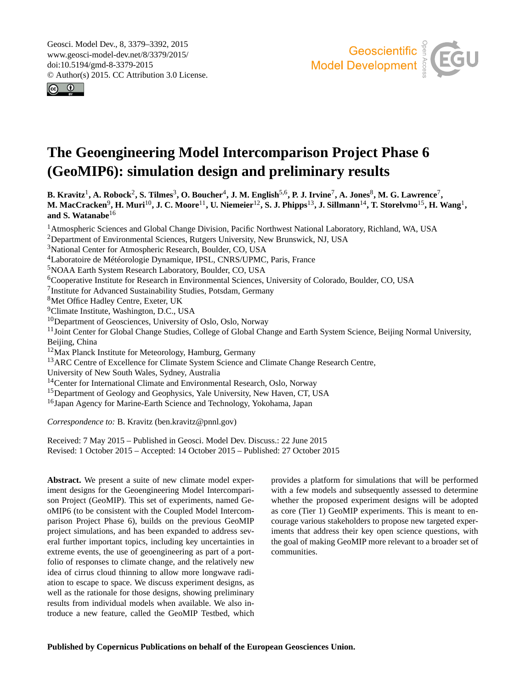<span id="page-0-1"></span>Geosci. Model Dev., 8, 3379–3392, 2015 www.geosci-model-dev.net/8/3379/2015/ doi:10.5194/gmd-8-3379-2015 © Author(s) 2015. CC Attribution 3.0 License.





# **The Geoengineering Model Intercomparison Project Phase 6 (GeoMIP6): simulation design and preliminary results**

 ${\bf B.~Kravitz}^1,$  ${\bf B.~Kravitz}^1,$  ${\bf B.~Kravitz}^1,$   ${\bf A.~Robock}^2,$  ${\bf A.~Robock}^2,$  ${\bf A.~Robock}^2,$   ${\bf S.~Tilmes}^3,$  ${\bf S.~Tilmes}^3,$  ${\bf S.~Tilmes}^3,$   ${\bf O.~Boucher}^4,$  ${\bf O.~Boucher}^4,$  ${\bf O.~Boucher}^4,$   ${\bf J.~M.~English}^{5,6},$  ${\bf J.~M.~English}^{5,6},$  ${\bf J.~M.~English}^{5,6},$   ${\bf P.~J.~Irvine}^7,$  ${\bf P.~J.~Irvine}^7,$  ${\bf P.~J.~Irvine}^7,$   ${\bf A.~Jones}^8,$  ${\bf A.~Jones}^8,$  ${\bf A.~Jones}^8,$   ${\bf M.~G.~Lawrence}^7,$ **M. MacCracken**[9](#page-0-0) **, H. Muri**[10](#page-0-0)**, J. C. Moore**[11](#page-0-0)**, U. Niemeier**[12](#page-0-0)**, S. J. Phipps**[13](#page-0-0)**, J. Sillmann**[14](#page-0-0)**, T. Storelvmo**[15](#page-0-0)**, H. Wang**[1](#page-0-0) **, and S. Watanabe**[16](#page-0-0)

<sup>1</sup>Atmospheric Sciences and Global Change Division, Pacific Northwest National Laboratory, Richland, WA, USA <sup>2</sup>Department of Environmental Sciences, Rutgers University, New Brunswick, NJ, USA <sup>3</sup>National Center for Atmospheric Research, Boulder, CO, USA <sup>4</sup>Laboratoire de Météorologie Dynamique, IPSL, CNRS/UPMC, Paris, France <sup>5</sup>NOAA Earth System Research Laboratory, Boulder, CO, USA <sup>6</sup>Cooperative Institute for Research in Environmental Sciences, University of Colorado, Boulder, CO, USA <sup>7</sup> Institute for Advanced Sustainability Studies, Potsdam, Germany <sup>8</sup>Met Office Hadley Centre, Exeter, UK <sup>9</sup>Climate Institute, Washington, D.C., USA <sup>10</sup>Department of Geosciences, University of Oslo, Oslo, Norway <sup>11</sup>Joint Center for Global Change Studies, College of Global Change and Earth System Science, Beijing Normal University, Beijing, China <sup>12</sup>Max Planck Institute for Meteorology, Hamburg, Germany <sup>13</sup> ARC Centre of Excellence for Climate System Science and Climate Change Research Centre, University of New South Wales, Sydney, Australia <sup>14</sup>Center for International Climate and Environmental Research, Oslo, Norway <sup>15</sup>Department of Geology and Geophysics, Yale University, New Haven, CT, USA <sup>16</sup>Japan Agency for Marine-Earth Science and Technology, Yokohama, Japan *Correspondence to:* B. Kravitz (ben.kravitz@pnnl.gov)

Received: 7 May 2015 – Published in Geosci. Model Dev. Discuss.: 22 June 2015

Revised: 1 October 2015 – Accepted: 14 October 2015 – Published: 27 October 2015

<span id="page-0-0"></span>**Abstract.** We present a suite of new climate model experiment designs for the Geoengineering Model Intercomparison Project (GeoMIP). This set of experiments, named GeoMIP6 (to be consistent with the Coupled Model Intercomparison Project Phase 6), builds on the previous GeoMIP project simulations, and has been expanded to address several further important topics, including key uncertainties in extreme events, the use of geoengineering as part of a portfolio of responses to climate change, and the relatively new idea of cirrus cloud thinning to allow more longwave radiation to escape to space. We discuss experiment designs, as well as the rationale for those designs, showing preliminary results from individual models when available. We also introduce a new feature, called the GeoMIP Testbed, which provides a platform for simulations that will be performed with a few models and subsequently assessed to determine whether the proposed experiment designs will be adopted as core (Tier 1) GeoMIP experiments. This is meant to encourage various stakeholders to propose new targeted experiments that address their key open science questions, with the goal of making GeoMIP more relevant to a broader set of communities.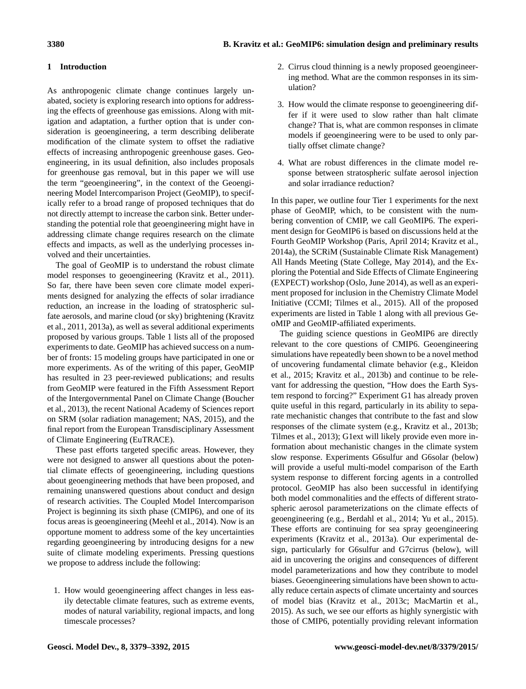# **1 Introduction**

As anthropogenic climate change continues largely unabated, society is exploring research into options for addressing the effects of greenhouse gas emissions. Along with mitigation and adaptation, a further option that is under consideration is geoengineering, a term describing deliberate modification of the climate system to offset the radiative effects of increasing anthropogenic greenhouse gases. Geoengineering, in its usual definition, also includes proposals for greenhouse gas removal, but in this paper we will use the term "geoengineering", in the context of the Geoengineering Model Intercomparison Project (GeoMIP), to specifically refer to a broad range of proposed techniques that do not directly attempt to increase the carbon sink. Better understanding the potential role that geoengineering might have in addressing climate change requires research on the climate effects and impacts, as well as the underlying processes involved and their uncertainties.

The goal of GeoMIP is to understand the robust climate model responses to geoengineering (Kravitz et al., 2011). So far, there have been seven core climate model experiments designed for analyzing the effects of solar irradiance reduction, an increase in the loading of stratospheric sulfate aerosols, and marine cloud (or sky) brightening (Kravitz et al., 2011, 2013a), as well as several additional experiments proposed by various groups. Table 1 lists all of the proposed experiments to date. GeoMIP has achieved success on a number of fronts: 15 modeling groups have participated in one or more experiments. As of the writing of this paper, GeoMIP has resulted in 23 peer-reviewed publications; and results from GeoMIP were featured in the Fifth Assessment Report of the Intergovernmental Panel on Climate Change (Boucher et al., 2013), the recent National Academy of Sciences report on SRM (solar radiation management; NAS, 2015), and the final report from the European Transdisciplinary Assessment of Climate Engineering (EuTRACE).

These past efforts targeted specific areas. However, they were not designed to answer all questions about the potential climate effects of geoengineering, including questions about geoengineering methods that have been proposed, and remaining unanswered questions about conduct and design of research activities. The Coupled Model Intercomparison Project is beginning its sixth phase (CMIP6), and one of its focus areas is geoengineering (Meehl et al., 2014). Now is an opportune moment to address some of the key uncertainties regarding geoengineering by introducing designs for a new suite of climate modeling experiments. Pressing questions we propose to address include the following:

1. How would geoengineering affect changes in less easily detectable climate features, such as extreme events, modes of natural variability, regional impacts, and long timescale processes?

- 2. Cirrus cloud thinning is a newly proposed geoengineering method. What are the common responses in its simulation?
- 3. How would the climate response to geoengineering differ if it were used to slow rather than halt climate change? That is, what are common responses in climate models if geoengineering were to be used to only partially offset climate change?
- 4. What are robust differences in the climate model response between stratospheric sulfate aerosol injection and solar irradiance reduction?

In this paper, we outline four Tier 1 experiments for the next phase of GeoMIP, which, to be consistent with the numbering convention of CMIP, we call GeoMIP6. The experiment design for GeoMIP6 is based on discussions held at the Fourth GeoMIP Workshop (Paris, April 2014; Kravitz et al., 2014a), the SCRiM (Sustainable Climate Risk Management) All Hands Meeting (State College, May 2014), and the Exploring the Potential and Side Effects of Climate Engineering (EXPECT) workshop (Oslo, June 2014), as well as an experiment proposed for inclusion in the Chemistry Climate Model Initiative (CCMI; Tilmes et al., 2015). All of the proposed experiments are listed in Table 1 along with all previous GeoMIP and GeoMIP-affiliated experiments.

The guiding science questions in GeoMIP6 are directly relevant to the core questions of CMIP6. Geoengineering simulations have repeatedly been shown to be a novel method of uncovering fundamental climate behavior (e.g., Kleidon et al., 2015; Kravitz et al., 2013b) and continue to be relevant for addressing the question, "How does the Earth System respond to forcing?" Experiment G1 has already proven quite useful in this regard, particularly in its ability to separate mechanistic changes that contribute to the fast and slow responses of the climate system (e.g., Kravitz et al., 2013b; Tilmes et al., 2013); G1ext will likely provide even more information about mechanistic changes in the climate system slow response. Experiments G6sulfur and G6solar (below) will provide a useful multi-model comparison of the Earth system response to different forcing agents in a controlled protocol. GeoMIP has also been successful in identifying both model commonalities and the effects of different stratospheric aerosol parameterizations on the climate effects of geoengineering (e.g., Berdahl et al., 2014; Yu et al., 2015). These efforts are continuing for sea spray geoengineering experiments (Kravitz et al., 2013a). Our experimental design, particularly for G6sulfur and G7cirrus (below), will aid in uncovering the origins and consequences of different model parameterizations and how they contribute to model biases. Geoengineering simulations have been shown to actually reduce certain aspects of climate uncertainty and sources of model bias (Kravitz et al., 2013c; MacMartin et al., 2015). As such, we see our efforts as highly synergistic with those of CMIP6, potentially providing relevant information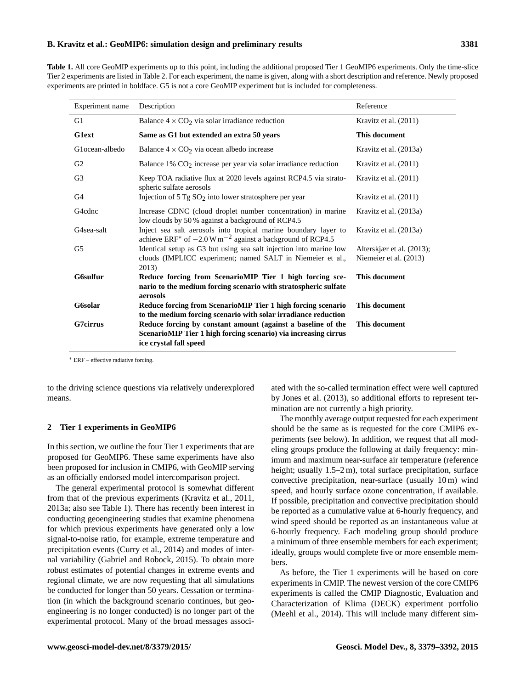## **B. Kravitz et al.: GeoMIP6: simulation design and preliminary results 3381**

**Table 1.** All core GeoMIP experiments up to this point, including the additional proposed Tier 1 GeoMIP6 experiments. Only the time-slice Tier 2 experiments are listed in Table 2. For each experiment, the name is given, along with a short description and reference. Newly proposed experiments are printed in boldface. G5 is not a core GeoMIP experiment but is included for completeness.

| Experiment name | Description                                                                                                                                               | Reference                                           |  |
|-----------------|-----------------------------------------------------------------------------------------------------------------------------------------------------------|-----------------------------------------------------|--|
| G1              | Balance $4 \times CO_2$ via solar irradiance reduction                                                                                                    | Kravitz et al. (2011)                               |  |
| <b>G1ext</b>    | Same as G1 but extended an extra 50 years                                                                                                                 | This document                                       |  |
| G1 ocean-albedo | Balance $4 \times CO_2$ via ocean albedo increase                                                                                                         | Kravitz et al. (2013a)                              |  |
| G <sub>2</sub>  | Balance $1\%$ CO <sub>2</sub> increase per year via solar irradiance reduction                                                                            | Kravitz et al. (2011)                               |  |
| G <sub>3</sub>  | Keep TOA radiative flux at 2020 levels against RCP4.5 via strato-<br>spheric sulfate aerosols                                                             | Kravitz et al. (2011)                               |  |
| G <sub>4</sub>  | Injection of $5 \text{ Tg } SO_2$ into lower stratosphere per year                                                                                        | Kravitz et al. (2011)                               |  |
| G4cdnc          | Increase CDNC (cloud droplet number concentration) in marine<br>low clouds by 50% against a background of RCP4.5                                          | Kravitz et al. (2013a)                              |  |
| G4sea-salt      | Inject sea salt aerosols into tropical marine boundary layer to<br>achieve ERF <sup>*</sup> of $-2.0 \text{ W m}^{-2}$ against a background of RCP4.5     | Kravitz et al. (2013a)                              |  |
| G <sub>5</sub>  | Identical setup as G3 but using sea salt injection into marine low<br>clouds (IMPLICC experiment; named SALT in Niemeier et al.,<br>2013)                 | Alterskjær et al. (2013);<br>Niemeier et al. (2013) |  |
| G6sulfur        | Reduce forcing from ScenarioMIP Tier 1 high forcing sce-<br>This document<br>nario to the medium forcing scenario with stratospheric sulfate<br>aerosols  |                                                     |  |
| G6solar         | Reduce forcing from ScenarioMIP Tier 1 high forcing scenario<br>to the medium forcing scenario with solar irradiance reduction                            | This document                                       |  |
| <b>G7cirrus</b> | Reduce forcing by constant amount (against a baseline of the<br>ScenarioMIP Tier 1 high forcing scenario) via increasing cirrus<br>ice crystal fall speed | This document                                       |  |

<sup>∗</sup> ERF – effective radiative forcing.

to the driving science questions via relatively underexplored means.

### **2 Tier 1 experiments in GeoMIP6**

In this section, we outline the four Tier 1 experiments that are proposed for GeoMIP6. These same experiments have also been proposed for inclusion in CMIP6, with GeoMIP serving as an officially endorsed model intercomparison project.

The general experimental protocol is somewhat different from that of the previous experiments (Kravitz et al., 2011, 2013a; also see Table 1). There has recently been interest in conducting geoengineering studies that examine phenomena for which previous experiments have generated only a low signal-to-noise ratio, for example, extreme temperature and precipitation events (Curry et al., 2014) and modes of internal variability (Gabriel and Robock, 2015). To obtain more robust estimates of potential changes in extreme events and regional climate, we are now requesting that all simulations be conducted for longer than 50 years. Cessation or termination (in which the background scenario continues, but geoengineering is no longer conducted) is no longer part of the experimental protocol. Many of the broad messages associated with the so-called termination effect were well captured by Jones et al. (2013), so additional efforts to represent termination are not currently a high priority.

The monthly average output requested for each experiment should be the same as is requested for the core CMIP6 experiments (see below). In addition, we request that all modeling groups produce the following at daily frequency: minimum and maximum near-surface air temperature (reference height; usually 1.5–2 m), total surface precipitation, surface convective precipitation, near-surface (usually 10 m) wind speed, and hourly surface ozone concentration, if available. If possible, precipitation and convective precipitation should be reported as a cumulative value at 6-hourly frequency, and wind speed should be reported as an instantaneous value at 6-hourly frequency. Each modeling group should produce a minimum of three ensemble members for each experiment; ideally, groups would complete five or more ensemble members.

As before, the Tier 1 experiments will be based on core experiments in CMIP. The newest version of the core CMIP6 experiments is called the CMIP Diagnostic, Evaluation and Characterization of Klima (DECK) experiment portfolio (Meehl et al., 2014). This will include many different sim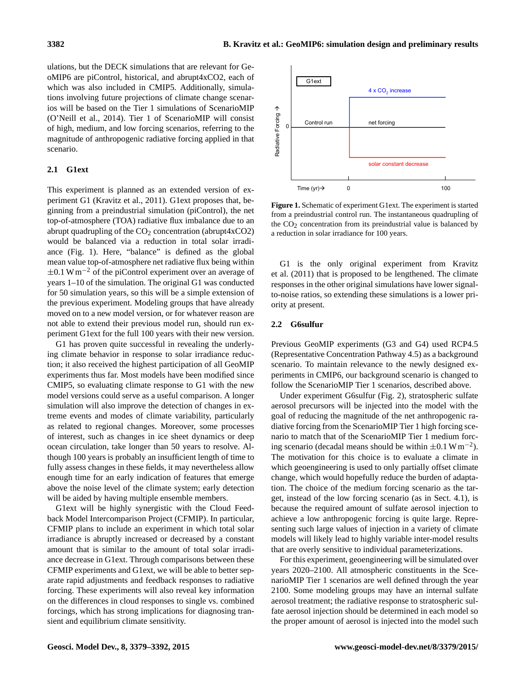ulations, but the DECK simulations that are relevant for GeoMIP6 are piControl, historical, and abrupt4xCO2, each of which was also included in CMIP5. Additionally, simulations involving future projections of climate change scenarios will be based on the Tier 1 simulations of ScenarioMIP (O'Neill et al., 2014). Tier 1 of ScenarioMIP will consist of high, medium, and low forcing scenarios, referring to the magnitude of anthropogenic radiative forcing applied in that scenario.

## **2.1 G1ext**

This experiment is planned as an extended version of experiment G1 (Kravitz et al., 2011). G1ext proposes that, beginning from a preindustrial simulation (piControl), the net top-of-atmosphere (TOA) radiative flux imbalance due to an abrupt quadrupling of the  $CO<sub>2</sub>$  concentration (abrupt4xCO2) would be balanced via a reduction in total solar irradiance (Fig. 1). Here, "balance" is defined as the global mean value top-of-atmosphere net radiative flux being within ±0.1 W m−<sup>2</sup> of the piControl experiment over an average of years 1–10 of the simulation. The original G1 was conducted for 50 simulation years, so this will be a simple extension of the previous experiment. Modeling groups that have already moved on to a new model version, or for whatever reason are not able to extend their previous model run, should run experiment G1ext for the full 100 years with their new version.

G1 has proven quite successful in revealing the underlying climate behavior in response to solar irradiance reduction; it also received the highest participation of all GeoMIP experiments thus far. Most models have been modified since CMIP5, so evaluating climate response to G1 with the new model versions could serve as a useful comparison. A longer simulation will also improve the detection of changes in extreme events and modes of climate variability, particularly as related to regional changes. Moreover, some processes of interest, such as changes in ice sheet dynamics or deep ocean circulation, take longer than 50 years to resolve. Although 100 years is probably an insufficient length of time to fully assess changes in these fields, it may nevertheless allow enough time for an early indication of features that emerge above the noise level of the climate system; early detection will be aided by having multiple ensemble members.

G1ext will be highly synergistic with the Cloud Feedback Model Intercomparison Project (CFMIP). In particular, CFMIP plans to include an experiment in which total solar irradiance is abruptly increased or decreased by a constant amount that is similar to the amount of total solar irradiance decrease in G1ext. Through comparisons between these CFMIP experiments and G1ext, we will be able to better separate rapid adjustments and feedback responses to radiative forcing. These experiments will also reveal key information on the differences in cloud responses to single vs. combined forcings, which has strong implications for diagnosing transient and equilibrium climate sensitivity.



**Figure 1.** Schematic of experiment G1ext. The experiment is started from a preindustrial control run. The instantaneous quadrupling of the  $CO<sub>2</sub>$  concentration from its preindustrial value is balanced by a reduction in solar irradiance for 100 years.

G1 is the only original experiment from Kravitz et al. (2011) that is proposed to be lengthened. The climate responses in the other original simulations have lower signalto-noise ratios, so extending these simulations is a lower priority at present.

#### **2.2 G6sulfur**

Previous GeoMIP experiments (G3 and G4) used RCP4.5 (Representative Concentration Pathway 4.5) as a background scenario. To maintain relevance to the newly designed experiments in CMIP6, our background scenario is changed to follow the ScenarioMIP Tier 1 scenarios, described above.

Under experiment G6sulfur (Fig. 2), stratospheric sulfate aerosol precursors will be injected into the model with the goal of reducing the magnitude of the net anthropogenic radiative forcing from the ScenarioMIP Tier 1 high forcing scenario to match that of the ScenarioMIP Tier 1 medium forcing scenario (decadal means should be within  $\pm 0.1 \text{ W m}^{-2}$ ). The motivation for this choice is to evaluate a climate in which geoengineering is used to only partially offset climate change, which would hopefully reduce the burden of adaptation. The choice of the medium forcing scenario as the target, instead of the low forcing scenario (as in Sect. 4.1), is because the required amount of sulfate aerosol injection to achieve a low anthropogenic forcing is quite large. Representing such large values of injection in a variety of climate models will likely lead to highly variable inter-model results that are overly sensitive to individual parameterizations.

For this experiment, geoengineering will be simulated over years 2020–2100. All atmospheric constituents in the ScenarioMIP Tier 1 scenarios are well defined through the year 2100. Some modeling groups may have an internal sulfate aerosol treatment; the radiative response to stratospheric sulfate aerosol injection should be determined in each model so the proper amount of aerosol is injected into the model such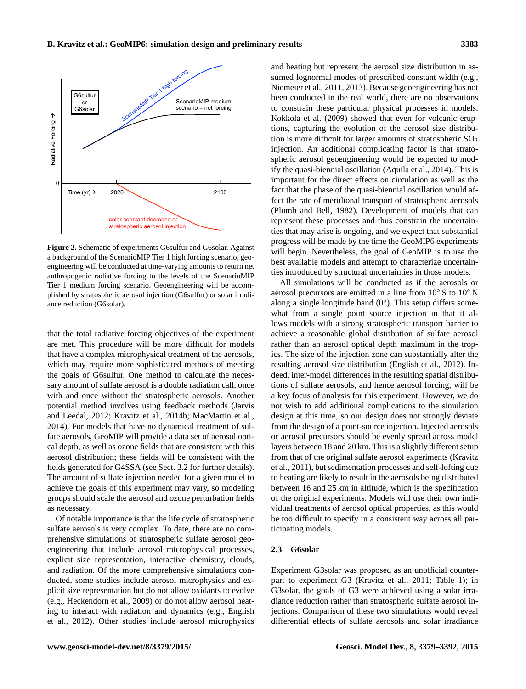

**Figure 2.** Schematic of experiments G6sulfur and G6solar. Against a background of the ScenarioMIP Tier 1 high forcing scenario, geoengineering will be conducted at time-varying amounts to return net anthropogenic radiative forcing to the levels of the ScenarioMIP Tier 1 medium forcing scenario. Geoengineering will be accomplished by stratospheric aerosol injection (G6sulfur) or solar irradiance reduction (G6solar).

that the total radiative forcing objectives of the experiment are met. This procedure will be more difficult for models that have a complex microphysical treatment of the aerosols, which may require more sophisticated methods of meeting the goals of G6sulfur. One method to calculate the necessary amount of sulfate aerosol is a double radiation call, once with and once without the stratospheric aerosols. Another potential method involves using feedback methods (Jarvis and Leedal, 2012; Kravitz et al., 2014b; MacMartin et al., 2014). For models that have no dynamical treatment of sulfate aerosols, GeoMIP will provide a data set of aerosol optical depth, as well as ozone fields that are consistent with this aerosol distribution; these fields will be consistent with the fields generated for G4SSA (see Sect. 3.2 for further details). The amount of sulfate injection needed for a given model to achieve the goals of this experiment may vary, so modeling groups should scale the aerosol and ozone perturbation fields as necessary.

Of notable importance is that the life cycle of stratospheric sulfate aerosols is very complex. To date, there are no comprehensive simulations of stratospheric sulfate aerosol geoengineering that include aerosol microphysical processes, explicit size representation, interactive chemistry, clouds, and radiation. Of the more comprehensive simulations conducted, some studies include aerosol microphysics and explicit size representation but do not allow oxidants to evolve (e.g., Heckendorn et al., 2009) or do not allow aerosol heating to interact with radiation and dynamics (e.g., English et al., 2012). Other studies include aerosol microphysics and heating but represent the aerosol size distribution in assumed lognormal modes of prescribed constant width (e.g., Niemeier et al., 2011, 2013). Because geoengineering has not been conducted in the real world, there are no observations to constrain these particular physical processes in models. Kokkola et al. (2009) showed that even for volcanic eruptions, capturing the evolution of the aerosol size distribution is more difficult for larger amounts of stratospheric  $SO<sub>2</sub>$ injection. An additional complicating factor is that stratospheric aerosol geoengineering would be expected to modify the quasi-biennial oscillation (Aquila et al., 2014). This is important for the direct effects on circulation as well as the fact that the phase of the quasi-biennial oscillation would affect the rate of meridional transport of stratospheric aerosols (Plumb and Bell, 1982). Development of models that can represent these processes and thus constrain the uncertainties that may arise is ongoing, and we expect that substantial progress will be made by the time the GeoMIP6 experiments will begin. Nevertheless, the goal of GeoMIP is to use the best available models and attempt to characterize uncertainties introduced by structural uncertainties in those models.

All simulations will be conducted as if the aerosols or aerosol precursors are emitted in a line from 10◦ S to 10◦ N along a single longitude band  $(0^{\circ})$ . This setup differs somewhat from a single point source injection in that it allows models with a strong stratospheric transport barrier to achieve a reasonable global distribution of sulfate aerosol rather than an aerosol optical depth maximum in the tropics. The size of the injection zone can substantially alter the resulting aerosol size distribution (English et al., 2012). Indeed, inter-model differences in the resulting spatial distributions of sulfate aerosols, and hence aerosol forcing, will be a key focus of analysis for this experiment. However, we do not wish to add additional complications to the simulation design at this time, so our design does not strongly deviate from the design of a point-source injection. Injected aerosols or aerosol precursors should be evenly spread across model layers between 18 and 20 km. This is a slightly different setup from that of the original sulfate aerosol experiments (Kravitz et al., 2011), but sedimentation processes and self-lofting due to heating are likely to result in the aerosols being distributed between 16 and 25 km in altitude, which is the specification of the original experiments. Models will use their own individual treatments of aerosol optical properties, as this would be too difficult to specify in a consistent way across all participating models.

#### **2.3 G6solar**

Experiment G3solar was proposed as an unofficial counterpart to experiment G3 (Kravitz et al., 2011; Table 1); in G3solar, the goals of G3 were achieved using a solar irradiance reduction rather than stratospheric sulfate aerosol injections. Comparison of these two simulations would reveal differential effects of sulfate aerosols and solar irradiance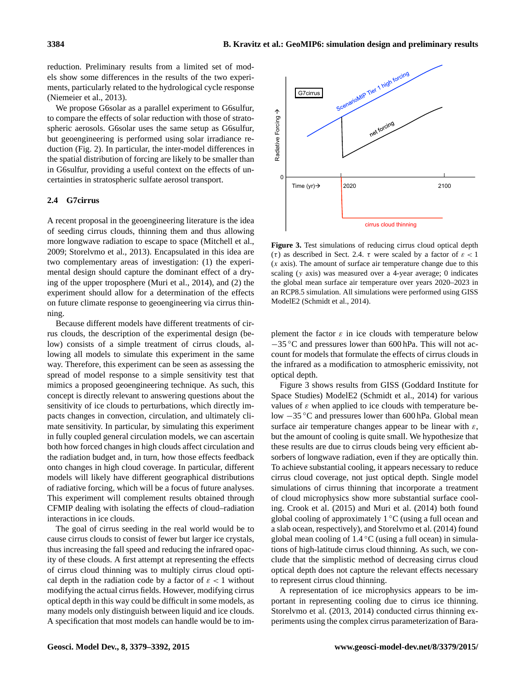reduction. Preliminary results from a limited set of models show some differences in the results of the two experiments, particularly related to the hydrological cycle response (Niemeier et al., 2013).

We propose G6solar as a parallel experiment to G6sulfur, to compare the effects of solar reduction with those of stratospheric aerosols. G6solar uses the same setup as G6sulfur, but geoengineering is performed using solar irradiance reduction (Fig. 2). In particular, the inter-model differences in the spatial distribution of forcing are likely to be smaller than in G6sulfur, providing a useful context on the effects of uncertainties in stratospheric sulfate aerosol transport.

## **2.4 G7cirrus**

A recent proposal in the geoengineering literature is the idea of seeding cirrus clouds, thinning them and thus allowing more longwave radiation to escape to space (Mitchell et al., 2009; Storelvmo et al., 2013). Encapsulated in this idea are two complementary areas of investigation: (1) the experimental design should capture the dominant effect of a drying of the upper troposphere (Muri et al., 2014), and (2) the experiment should allow for a determination of the effects on future climate response to geoengineering via cirrus thinning.

Because different models have different treatments of cirrus clouds, the description of the experimental design (below) consists of a simple treatment of cirrus clouds, allowing all models to simulate this experiment in the same way. Therefore, this experiment can be seen as assessing the spread of model response to a simple sensitivity test that mimics a proposed geoengineering technique. As such, this concept is directly relevant to answering questions about the sensitivity of ice clouds to perturbations, which directly impacts changes in convection, circulation, and ultimately climate sensitivity. In particular, by simulating this experiment in fully coupled general circulation models, we can ascertain both how forced changes in high clouds affect circulation and the radiation budget and, in turn, how those effects feedback onto changes in high cloud coverage. In particular, different models will likely have different geographical distributions of radiative forcing, which will be a focus of future analyses. This experiment will complement results obtained through CFMIP dealing with isolating the effects of cloud–radiation interactions in ice clouds. to compare the effects of solar reduction with those of strato-<br>
is polycenic acrossls. Gestolar uses the same setup as Gestafur,<br>
by igeocegracienting is proformed using solar irreducer re-<br>
and duction (Fig. 2). In part

The goal of cirrus seeding in the real world would be to cause cirrus clouds to consist of fewer but larger ice crystals, thus increasing the fall speed and reducing the infrared opacity of these clouds. A first attempt at representing the effects of cirrus cloud thinning was to multiply cirrus cloud optical depth in the radiation code by a factor of  $\varepsilon < 1$  without modifying the actual cirrus fields. However, modifying cirrus optical depth in this way could be difficult in some models, as many models only distinguish between liquid and ice clouds.



**Figure 3.** Test simulations of reducing cirrus cloud optical depth (τ) as described in Sect. 2.4.  $\tau$  were scaled by a factor of  $\varepsilon < 1$  $(x \text{ axis})$ . The amount of surface air temperature change due to this scaling (y axis) was measured over a 4-year average; 0 indicates the global mean surface air temperature over years 2020–2023 in an RCP8.5 simulation. All simulations were performed using GISS ModelE2 (Schmidt et al., 2014).

plement the factor  $\varepsilon$  in ice clouds with temperature below −35 ◦C and pressures lower than 600 hPa. This will not account for models that formulate the effects of cirrus clouds in the infrared as a modification to atmospheric emissivity, not optical depth.

Figure 3 shows results from GISS (Goddard Institute for Space Studies) ModelE2 (Schmidt et al., 2014) for various values of  $\varepsilon$  when applied to ice clouds with temperature below −35 ◦C and pressures lower than 600 hPa. Global mean surface air temperature changes appear to be linear with  $\varepsilon$ , but the amount of cooling is quite small. We hypothesize that these results are due to cirrus clouds being very efficient absorbers of longwave radiation, even if they are optically thin. To achieve substantial cooling, it appears necessary to reduce cirrus cloud coverage, not just optical depth. Single model simulations of cirrus thinning that incorporate a treatment of cloud microphysics show more substantial surface cooling. Crook et al. (2015) and Muri et al. (2014) both found global cooling of approximately 1 ◦C (using a full ocean and a slab ocean, respectively), and Storelvmo et al. (2014) found global mean cooling of  $1.4\textdegree$ C (using a full ocean) in simulations of high-latitude cirrus cloud thinning. As such, we conclude that the simplistic method of decreasing cirrus cloud optical depth does not capture the relevant effects necessary to represent cirrus cloud thinning.

A representation of ice microphysics appears to be important in representing cooling due to cirrus ice thinning. Storelvmo et al. (2013, 2014) conducted cirrus thinning experiments using the complex cirrus parameterization of Bara-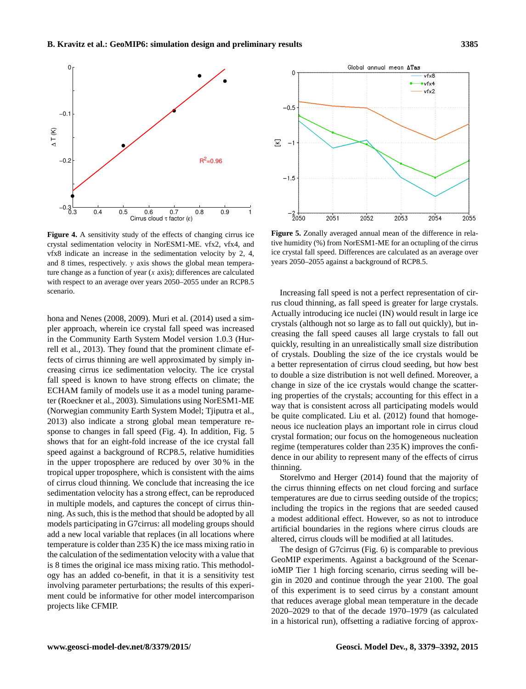

Figure 4. A sensitivity study of the effects of changing cirrus ice crystal sedimentation velocity in NorESM1-ME. vfx2, vfx4, and vfx8 indicate an increase in the sedimentation velocity by 2, 4, and 8 times, respectively. y axis shows the global mean temperature change as a function of year  $(x \text{ axis})$ ; differences are calculated with respect to an average over years 2050–2055 under an RCP8.5 scenario.

hona and Nenes (2008, 2009). Muri et al. (2014) used a simpler approach, wherein ice crystal fall speed was increased in the Community Earth System Model version 1.0.3 (Hurrell et al., 2013). They found that the prominent climate effects of cirrus thinning are well approximated by simply increasing cirrus ice sedimentation velocity. The ice crystal fall speed is known to have strong effects on climate; the ECHAM family of models use it as a model tuning parameter (Roeckner et al., 2003). Simulations using NorESM1-ME (Norwegian community Earth System Model; Tjiputra et al., 2013) also indicate a strong global mean temperature response to changes in fall speed (Fig. 4). In addition, Fig. 5 shows that for an eight-fold increase of the ice crystal fall speed against a background of RCP8.5, relative humidities in the upper troposphere are reduced by over 30 % in the tropical upper troposphere, which is consistent with the aims of cirrus cloud thinning. We conclude that increasing the ice sedimentation velocity has a strong effect, can be reproduced in multiple models, and captures the concept of cirrus thinning. As such, this is the method that should be adopted by all models participating in G7cirrus: all modeling groups should add a new local variable that replaces (in all locations where temperature is colder than 235 K) the ice mass mixing ratio in the calculation of the sedimentation velocity with a value that is 8 times the original ice mass mixing ratio. This methodology has an added co-benefit, in that it is a sensitivity test involving parameter perturbations; the results of this experiment could be informative for other model intercomparison projects like CFMIP.



**Figure 5.** Zonally averaged annual mean of the difference in relative humidity (%) from NorESM1-ME for an octupling of the cirrus ice crystal fall speed. Differences are calculated as an average over years 2050–2055 against a background of RCP8.5.

Increasing fall speed is not a perfect representation of cirrus cloud thinning, as fall speed is greater for large crystals. Actually introducing ice nuclei (IN) would result in large ice crystals (although not so large as to fall out quickly), but increasing the fall speed causes all large crystals to fall out quickly, resulting in an unrealistically small size distribution of crystals. Doubling the size of the ice crystals would be a better representation of cirrus cloud seeding, but how best to double a size distribution is not well defined. Moreover, a change in size of the ice crystals would change the scattering properties of the crystals; accounting for this effect in a way that is consistent across all participating models would be quite complicated. Liu et al. (2012) found that homogeneous ice nucleation plays an important role in cirrus cloud crystal formation; our focus on the homogeneous nucleation regime (temperatures colder than 235 K) improves the confidence in our ability to represent many of the effects of cirrus thinning.

Storelvmo and Herger (2014) found that the majority of the cirrus thinning effects on net cloud forcing and surface temperatures are due to cirrus seeding outside of the tropics; including the tropics in the regions that are seeded caused a modest additional effect. However, so as not to introduce artificial boundaries in the regions where cirrus clouds are altered, cirrus clouds will be modified at all latitudes.

The design of G7cirrus (Fig. 6) is comparable to previous GeoMIP experiments. Against a background of the ScenarioMIP Tier 1 high forcing scenario, cirrus seeding will begin in 2020 and continue through the year 2100. The goal of this experiment is to seed cirrus by a constant amount that reduces average global mean temperature in the decade 2020–2029 to that of the decade 1970–1979 (as calculated in a historical run), offsetting a radiative forcing of approx-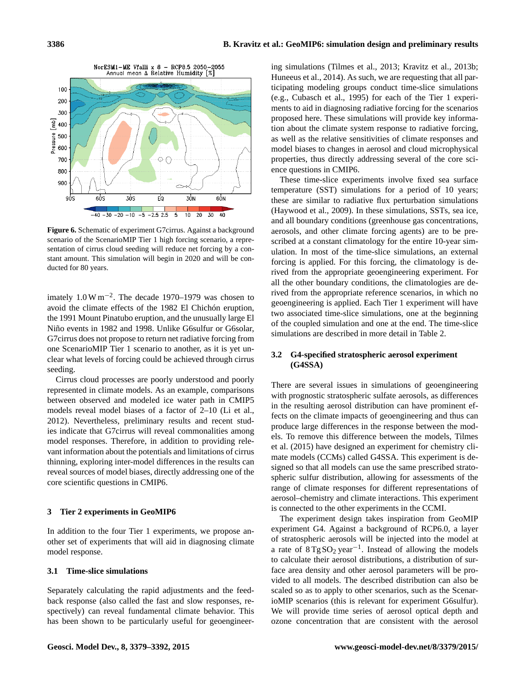

**Figure 6.** Schematic of experiment G7cirrus. Against a background scenario of the ScenarioMIP Tier 1 high forcing scenario, a representation of cirrus cloud seeding will reduce net forcing by a constant amount. This simulation will begin in 2020 and will be conducted for 80 years.

imately  $1.0 \text{ W m}^{-2}$ . The decade 1970–1979 was chosen to avoid the climate effects of the 1982 El Chichón eruption, the 1991 Mount Pinatubo eruption, and the unusually large El Niño events in 1982 and 1998. Unlike G6sulfur or G6solar, G7cirrus does not propose to return net radiative forcing from one ScenarioMIP Tier 1 scenario to another, as it is yet unclear what levels of forcing could be achieved through cirrus seeding.

Cirrus cloud processes are poorly understood and poorly represented in climate models. As an example, comparisons between observed and modeled ice water path in CMIP5 models reveal model biases of a factor of 2–10 (Li et al., 2012). Nevertheless, preliminary results and recent studies indicate that G7cirrus will reveal commonalities among model responses. Therefore, in addition to providing relevant information about the potentials and limitations of cirrus thinning, exploring inter-model differences in the results can reveal sources of model biases, directly addressing one of the core scientific questions in CMIP6.

#### **3 Tier 2 experiments in GeoMIP6**

In addition to the four Tier 1 experiments, we propose another set of experiments that will aid in diagnosing climate model response.

### **3.1 Time-slice simulations**

Separately calculating the rapid adjustments and the feedback response (also called the fast and slow responses, respectively) can reveal fundamental climate behavior. This has been shown to be particularly useful for geoengineering simulations (Tilmes et al., 2013; Kravitz et al., 2013b; Huneeus et al., 2014). As such, we are requesting that all participating modeling groups conduct time-slice simulations (e.g., Cubasch et al., 1995) for each of the Tier 1 experiments to aid in diagnosing radiative forcing for the scenarios proposed here. These simulations will provide key information about the climate system response to radiative forcing, as well as the relative sensitivities of climate responses and model biases to changes in aerosol and cloud microphysical properties, thus directly addressing several of the core science questions in CMIP6.

These time-slice experiments involve fixed sea surface temperature (SST) simulations for a period of 10 years; these are similar to radiative flux perturbation simulations (Haywood et al., 2009). In these simulations, SSTs, sea ice, and all boundary conditions (greenhouse gas concentrations, aerosols, and other climate forcing agents) are to be prescribed at a constant climatology for the entire 10-year simulation. In most of the time-slice simulations, an external forcing is applied. For this forcing, the climatology is derived from the appropriate geoengineering experiment. For all the other boundary conditions, the climatologies are derived from the appropriate reference scenarios, in which no geoengineering is applied. Each Tier 1 experiment will have two associated time-slice simulations, one at the beginning of the coupled simulation and one at the end. The time-slice simulations are described in more detail in Table 2.

## **3.2 G4-specified stratospheric aerosol experiment (G4SSA)**

There are several issues in simulations of geoengineering with prognostic stratospheric sulfate aerosols, as differences in the resulting aerosol distribution can have prominent effects on the climate impacts of geoengineering and thus can produce large differences in the response between the models. To remove this difference between the models, Tilmes et al. (2015) have designed an experiment for chemistry climate models (CCMs) called G4SSA. This experiment is designed so that all models can use the same prescribed stratospheric sulfur distribution, allowing for assessments of the range of climate responses for different representations of aerosol–chemistry and climate interactions. This experiment is connected to the other experiments in the CCMI.

The experiment design takes inspiration from GeoMIP experiment G4. Against a background of RCP6.0, a layer of stratospheric aerosols will be injected into the model at a rate of  $8 \text{ Tg} \text{ SO}_2 \text{ year}^{-1}$ . Instead of allowing the models to calculate their aerosol distributions, a distribution of surface area density and other aerosol parameters will be provided to all models. The described distribution can also be scaled so as to apply to other scenarios, such as the ScenarioMIP scenarios (this is relevant for experiment G6sulfur). We will provide time series of aerosol optical depth and ozone concentration that are consistent with the aerosol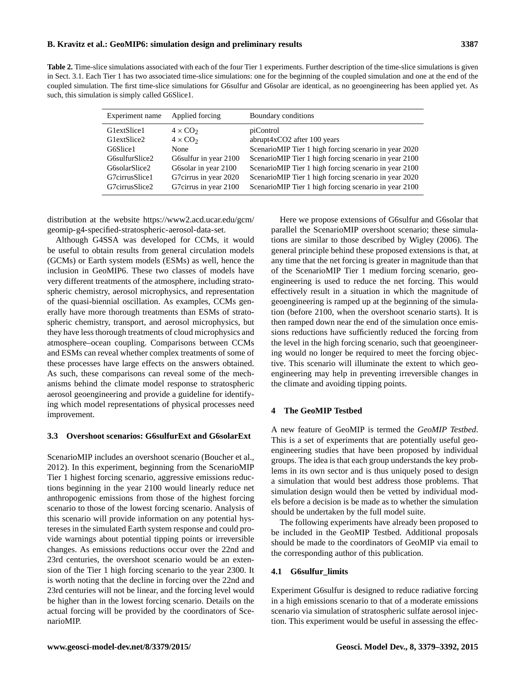| <b>Table 2.</b> Time-slice simulations associated with each of the four Tier 1 experiments. Further description of the time-slice simulations is given |
|--------------------------------------------------------------------------------------------------------------------------------------------------------|
| in Sect. 3.1. Each Tier 1 has two associated time-slice simulations: one for the beginning of the coupled simulation and one at the end of the         |
| coupled simulation. The first time-slice simulations for G6sulfur and G6solar are identical, as no geoengineering has been applied yet. As             |
| such, this simulation is simply called G6Slice1.                                                                                                       |

| Experiment name | Applied forcing       | Boundary conditions                                   |
|-----------------|-----------------------|-------------------------------------------------------|
| G1extSlice1     | $4 \times CO2$        | piControl                                             |
| G1extSlice2     | $4 \times CO2$        | $abrupt4xCO2$ after 100 years                         |
| G6Slice1        | None                  | ScenarioMIP Tier 1 high forcing scenario in year 2020 |
| G6sulfurSlice2  | G6sulfur in year 2100 | ScenarioMIP Tier 1 high forcing scenario in year 2100 |
| G6solarSlice2   | G6solar in year 2100  | ScenarioMIP Tier 1 high forcing scenario in year 2100 |
| G7cirrusSlice1  | G7cirrus in year 2020 | ScenarioMIP Tier 1 high forcing scenario in year 2020 |
| G7cirrusSlice2  | G7cirrus in year 2100 | ScenarioMIP Tier 1 high forcing scenario in year 2100 |

distribution at the website [https://www2.acd.ucar.edu/gcm/](https://www2.acd.ucar.edu/gcm/geomip-g4-specified-stratospheric-aerosol-data-set) [geomip-g4-specified-stratospheric-aerosol-data-set.](https://www2.acd.ucar.edu/gcm/geomip-g4-specified-stratospheric-aerosol-data-set)

Although G4SSA was developed for CCMs, it would be useful to obtain results from general circulation models (GCMs) or Earth system models (ESMs) as well, hence the inclusion in GeoMIP6. These two classes of models have very different treatments of the atmosphere, including stratospheric chemistry, aerosol microphysics, and representation of the quasi-biennial oscillation. As examples, CCMs generally have more thorough treatments than ESMs of stratospheric chemistry, transport, and aerosol microphysics, but they have less thorough treatments of cloud microphysics and atmosphere–ocean coupling. Comparisons between CCMs and ESMs can reveal whether complex treatments of some of these processes have large effects on the answers obtained. As such, these comparisons can reveal some of the mechanisms behind the climate model response to stratospheric aerosol geoengineering and provide a guideline for identifying which model representations of physical processes need improvement.

#### **3.3 Overshoot scenarios: G6sulfurExt and G6solarExt**

ScenarioMIP includes an overshoot scenario (Boucher et al., 2012). In this experiment, beginning from the ScenarioMIP Tier 1 highest forcing scenario, aggressive emissions reductions beginning in the year 2100 would linearly reduce net anthropogenic emissions from those of the highest forcing scenario to those of the lowest forcing scenario. Analysis of this scenario will provide information on any potential hystereses in the simulated Earth system response and could provide warnings about potential tipping points or irreversible changes. As emissions reductions occur over the 22nd and 23rd centuries, the overshoot scenario would be an extension of the Tier 1 high forcing scenario to the year 2300. It is worth noting that the decline in forcing over the 22nd and 23rd centuries will not be linear, and the forcing level would be higher than in the lowest forcing scenario. Details on the actual forcing will be provided by the coordinators of ScenarioMIP.

Here we propose extensions of G6sulfur and G6solar that parallel the ScenarioMIP overshoot scenario; these simulations are similar to those described by Wigley (2006). The general principle behind these proposed extensions is that, at any time that the net forcing is greater in magnitude than that of the ScenarioMIP Tier 1 medium forcing scenario, geoengineering is used to reduce the net forcing. This would effectively result in a situation in which the magnitude of geoengineering is ramped up at the beginning of the simulation (before 2100, when the overshoot scenario starts). It is then ramped down near the end of the simulation once emissions reductions have sufficiently reduced the forcing from the level in the high forcing scenario, such that geoengineering would no longer be required to meet the forcing objective. This scenario will illuminate the extent to which geoengineering may help in preventing irreversible changes in the climate and avoiding tipping points.

### **4 The GeoMIP Testbed**

A new feature of GeoMIP is termed the *GeoMIP Testbed*. This is a set of experiments that are potentially useful geoengineering studies that have been proposed by individual groups. The idea is that each group understands the key problems in its own sector and is thus uniquely posed to design a simulation that would best address those problems. That simulation design would then be vetted by individual models before a decision is be made as to whether the simulation should be undertaken by the full model suite.

The following experiments have already been proposed to be included in the GeoMIP Testbed. Additional proposals should be made to the coordinators of GeoMIP via email to the corresponding author of this publication.

### **4.1 G6sulfur\_limits**

Experiment G6sulfur is designed to reduce radiative forcing in a high emissions scenario to that of a moderate emissions scenario via simulation of stratospheric sulfate aerosol injection. This experiment would be useful in assessing the effec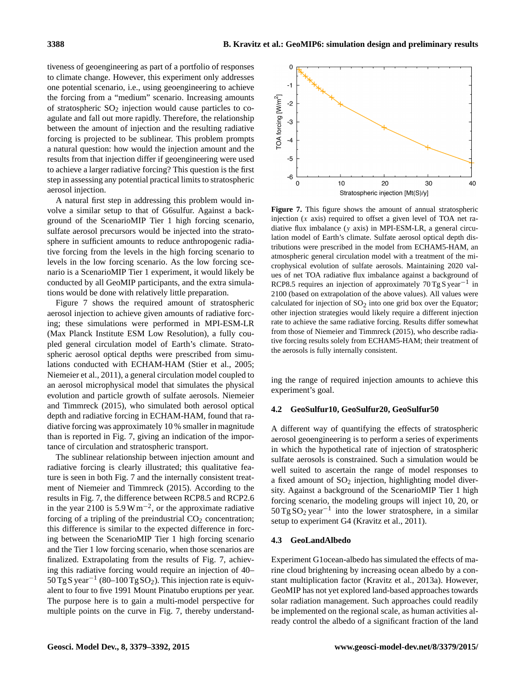tiveness of geoengineering as part of a portfolio of responses to climate change. However, this experiment only addresses one potential scenario, i.e., using geoengineering to achieve the forcing from a "medium" scenario. Increasing amounts of stratospheric  $SO_2$  injection would cause particles to coagulate and fall out more rapidly. Therefore, the relationship between the amount of injection and the resulting radiative forcing is projected to be sublinear. This problem prompts a natural question: how would the injection amount and the results from that injection differ if geoengineering were used to achieve a larger radiative forcing? This question is the first step in assessing any potential practical limits to stratospheric aerosol injection.

A natural first step in addressing this problem would involve a similar setup to that of G6sulfur. Against a background of the ScenarioMIP Tier 1 high forcing scenario, sulfate aerosol precursors would be injected into the stratosphere in sufficient amounts to reduce anthropogenic radiative forcing from the levels in the high forcing scenario to levels in the low forcing scenario. As the low forcing scenario is a ScenarioMIP Tier 1 experiment, it would likely be conducted by all GeoMIP participants, and the extra simulations would be done with relatively little preparation.

Figure 7 shows the required amount of stratospheric aerosol injection to achieve given amounts of radiative forcing; these simulations were performed in MPI-ESM-LR (Max Planck Institute ESM Low Resolution), a fully coupled general circulation model of Earth's climate. Stratospheric aerosol optical depths were prescribed from simulations conducted with ECHAM-HAM (Stier et al., 2005; Niemeier et al., 2011), a general circulation model coupled to an aerosol microphysical model that simulates the physical evolution and particle growth of sulfate aerosols. Niemeier and Timmreck (2015), who simulated both aerosol optical depth and radiative forcing in ECHAM-HAM, found that radiative forcing was approximately 10 % smaller in magnitude than is reported in Fig. 7, giving an indication of the importance of circulation and stratospheric transport.

The sublinear relationship between injection amount and radiative forcing is clearly illustrated; this qualitative feature is seen in both Fig. 7 and the internally consistent treatment of Niemeier and Timmreck (2015). According to the results in Fig. 7, the difference between RCP8.5 and RCP2.6 in the year 2100 is  $5.9 \text{ W m}^{-2}$ , or the approximate radiative forcing of a tripling of the preindustrial  $CO<sub>2</sub>$  concentration; this difference is similar to the expected difference in forcing between the ScenarioMIP Tier 1 high forcing scenario and the Tier 1 low forcing scenario, when those scenarios are finalized. Extrapolating from the results of Fig. 7, achieving this radiative forcing would require an injection of 40– 50 Tg S year−<sup>1</sup> (80–100 Tg SO2). This injection rate is equivalent to four to five 1991 Mount Pinatubo eruptions per year. The purpose here is to gain a multi-model perspective for multiple points on the curve in Fig. 7, thereby understand-



**Figure 7.** This figure shows the amount of annual stratospheric injection  $(x \text{ axis})$  required to offset a given level of TOA net radiative flux imbalance (y axis) in MPI-ESM-LR, a general circulation model of Earth's climate. Sulfate aerosol optical depth distributions were prescribed in the model from ECHAM5-HAM, an atmospheric general circulation model with a treatment of the microphysical evolution of sulfate aerosols. Maintaining 2020 values of net TOA radiative flux imbalance against a background of RCP8.5 requires an injection of approximately 70 Tg S year<sup>-1</sup> in 2100 (based on extrapolation of the above values). All values were calculated for injection of  $SO<sub>2</sub>$  into one grid box over the Equator; other injection strategies would likely require a different injection rate to achieve the same radiative forcing. Results differ somewhat from those of Niemeier and Timmreck (2015), who describe radiative forcing results solely from ECHAM5-HAM; their treatment of the aerosols is fully internally consistent.

ing the range of required injection amounts to achieve this experiment's goal.

#### **4.2 GeoSulfur10, GeoSulfur20, GeoSulfur50**

A different way of quantifying the effects of stratospheric aerosol geoengineering is to perform a series of experiments in which the hypothetical rate of injection of stratospheric sulfate aerosols is constrained. Such a simulation would be well suited to ascertain the range of model responses to a fixed amount of  $SO<sub>2</sub>$  injection, highlighting model diversity. Against a background of the ScenarioMIP Tier 1 high forcing scenario, the modeling groups will inject 10, 20, or 50 Tg SO<sup>2</sup> year−<sup>1</sup> into the lower stratosphere, in a similar setup to experiment G4 (Kravitz et al., 2011).

## **4.3 GeoLandAlbedo**

Experiment G1ocean-albedo has simulated the effects of marine cloud brightening by increasing ocean albedo by a constant multiplication factor (Kravitz et al., 2013a). However, GeoMIP has not yet explored land-based approaches towards solar radiation management. Such approaches could readily be implemented on the regional scale, as human activities already control the albedo of a significant fraction of the land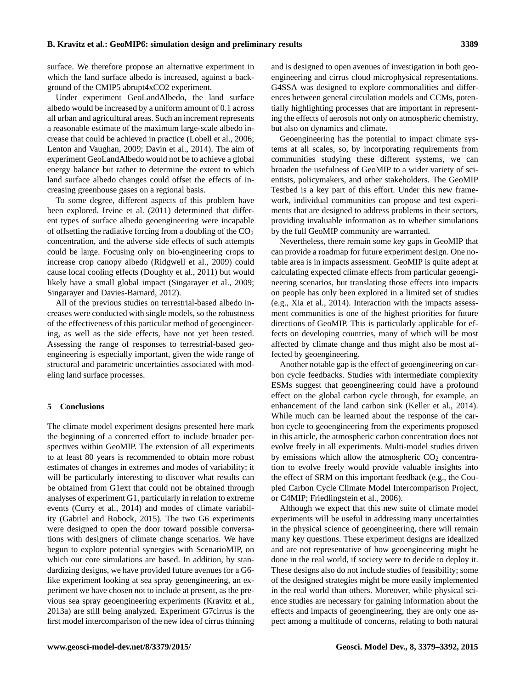surface. We therefore propose an alternative experiment in which the land surface albedo is increased, against a background of the CMIP5 abrupt4xCO2 experiment.

Under experiment GeoLandAlbedo, the land surface albedo would be increased by a uniform amount of 0.1 across all urban and agricultural areas. Such an increment represents a reasonable estimate of the maximum large-scale albedo increase that could be achieved in practice (Lobell et al., 2006; Lenton and Vaughan, 2009; Davin et al., 2014). The aim of experiment GeoLandAlbedo would not be to achieve a global energy balance but rather to determine the extent to which land surface albedo changes could offset the effects of increasing greenhouse gases on a regional basis.

To some degree, different aspects of this problem have been explored. Irvine et al. (2011) determined that different types of surface albedo geoengineering were incapable of offsetting the radiative forcing from a doubling of the  $CO<sub>2</sub>$ concentration, and the adverse side effects of such attempts could be large. Focusing only on bio-engineering crops to increase crop canopy albedo (Ridgwell et al., 2009) could cause local cooling effects (Doughty et al., 2011) but would likely have a small global impact (Singarayer et al., 2009; Singarayer and Davies-Barnard, 2012).

All of the previous studies on terrestrial-based albedo increases were conducted with single models, so the robustness of the effectiveness of this particular method of geoengineering, as well as the side effects, have not yet been tested. Assessing the range of responses to terrestrial-based geoengineering is especially important, given the wide range of structural and parametric uncertainties associated with modeling land surface processes.

#### **5 Conclusions**

The climate model experiment designs presented here mark the beginning of a concerted effort to include broader perspectives within GeoMIP. The extension of all experiments to at least 80 years is recommended to obtain more robust estimates of changes in extremes and modes of variability; it will be particularly interesting to discover what results can be obtained from G1ext that could not be obtained through analyses of experiment G1, particularly in relation to extreme events (Curry et al., 2014) and modes of climate variability (Gabriel and Robock, 2015). The two G6 experiments were designed to open the door toward possible conversations with designers of climate change scenarios. We have begun to explore potential synergies with ScenarioMIP, on which our core simulations are based. In addition, by standardizing designs, we have provided future avenues for a G6 like experiment looking at sea spray geoengineering, an experiment we have chosen not to include at present, as the previous sea spray geoengineering experiments (Kravitz et al., 2013a) are still being analyzed. Experiment G7cirrus is the first model intercomparison of the new idea of cirrus thinning and is designed to open avenues of investigation in both geoengineering and cirrus cloud microphysical representations. G4SSA was designed to explore commonalities and differences between general circulation models and CCMs, potentially highlighting processes that are important in representing the effects of aerosols not only on atmospheric chemistry, but also on dynamics and climate.

Geoengineering has the potential to impact climate systems at all scales, so, by incorporating requirements from communities studying these different systems, we can broaden the usefulness of GeoMIP to a wider variety of scientists, policymakers, and other stakeholders. The GeoMIP Testbed is a key part of this effort. Under this new framework, individual communities can propose and test experiments that are designed to address problems in their sectors, providing invaluable information as to whether simulations by the full GeoMIP community are warranted.

Nevertheless, there remain some key gaps in GeoMIP that can provide a roadmap for future experiment design. One notable area is in impacts assessment. GeoMIP is quite adept at calculating expected climate effects from particular geoengineering scenarios, but translating those effects into impacts on people has only been explored in a limited set of studies (e.g., Xia et al., 2014). Interaction with the impacts assessment communities is one of the highest priorities for future directions of GeoMIP. This is particularly applicable for effects on developing countries, many of which will be most affected by climate change and thus might also be most affected by geoengineering.

Another notable gap is the effect of geoengineering on carbon cycle feedbacks. Studies with intermediate complexity ESMs suggest that geoengineering could have a profound effect on the global carbon cycle through, for example, an enhancement of the land carbon sink (Keller et al., 2014). While much can be learned about the response of the carbon cycle to geoengineering from the experiments proposed in this article, the atmospheric carbon concentration does not evolve freely in all experiments. Multi-model studies driven by emissions which allow the atmospheric  $CO<sub>2</sub>$  concentration to evolve freely would provide valuable insights into the effect of SRM on this important feedback (e.g., the Coupled Carbon Cycle Climate Model Intercomparison Project, or C4MIP; Friedlingstein et al., 2006).

Although we expect that this new suite of climate model experiments will be useful in addressing many uncertainties in the physical science of geoengineering, there will remain many key questions. These experiment designs are idealized and are not representative of how geoengineering might be done in the real world, if society were to decide to deploy it. These designs also do not include studies of feasibility; some of the designed strategies might be more easily implemented in the real world than others. Moreover, while physical science studies are necessary for gaining information about the effects and impacts of geoengineering, they are only one aspect among a multitude of concerns, relating to both natural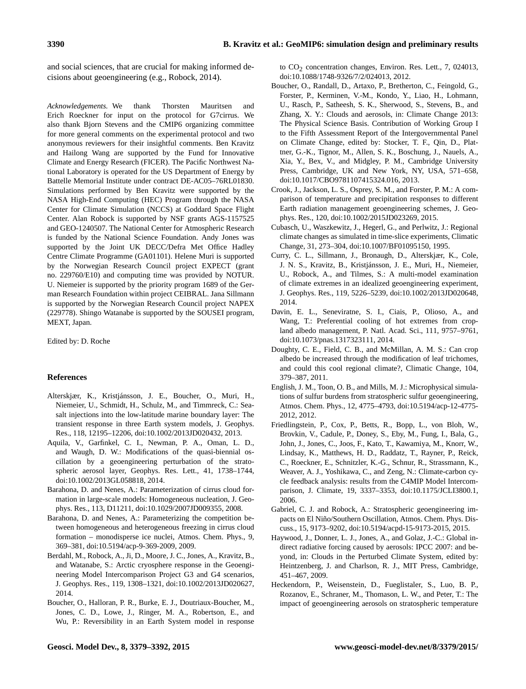and social sciences, that are crucial for making informed decisions about geoengineering (e.g., Robock, 2014).

*Acknowledgements.* We thank Thorsten Mauritsen and Erich Roeckner for input on the protocol for G7cirrus. We also thank Bjorn Stevens and the CMIP6 organizing committee for more general comments on the experimental protocol and two anonymous reviewers for their insightful comments. Ben Kravitz and Hailong Wang are supported by the Fund for Innovative Climate and Energy Research (FICER). The Pacific Northwest National Laboratory is operated for the US Department of Energy by Battelle Memorial Institute under contract DE-AC05–76RL01830. Simulations performed by Ben Kravitz were supported by the NASA High-End Computing (HEC) Program through the NASA Center for Climate Simulation (NCCS) at Goddard Space Flight Center. Alan Robock is supported by NSF grants AGS-1157525 and GEO-1240507. The National Center for Atmospheric Research is funded by the National Science Foundation. Andy Jones was supported by the Joint UK DECC/Defra Met Office Hadley Centre Climate Programme (GA01101). Helene Muri is supported by the Norwegian Research Council project EXPECT (grant no. 229760/E10) and computing time was provided by NOTUR. U. Niemeier is supported by the priority program 1689 of the German Research Foundation within project CEIBRAL. Jana Sillmann is supported by the Norwegian Research Council project NAPEX (229778). Shingo Watanabe is supported by the SOUSEI program, MEXT, Japan.

Edited by: D. Roche

## **References**

- Alterskjær, K., Kristjánsson, J. E., Boucher, O., Muri, H., Niemeier, U., Schmidt, H., Schulz, M., and Timmreck, C.: Seasalt injections into the low-latitude marine boundary layer: The transient response in three Earth system models, J. Geophys. Res., 118, 12195–12206, doi[:10.1002/2013JD020432,](http://dx.doi.org/10.1002/2013JD020432) 2013.
- Aquila, V., Garfinkel, C. I., Newman, P. A., Oman, L. D., and Waugh, D. W.: Modifications of the quasi-biennial oscillation by a geoengineering perturbation of the stratospheric aerosol layer, Geophys. Res. Lett., 41, 1738–1744, doi[:10.1002/2013GL058818,](http://dx.doi.org/10.1002/2013GL058818) 2014.
- Barahona, D. and Nenes, A.: Parameterization of cirrus cloud formation in large-scale models: Homogeneous nucleation, J. Geophys. Res., 113, D11211, doi[:10.1029/2007JD009355,](http://dx.doi.org/10.1029/2007JD009355) 2008.
- Barahona, D. and Nenes, A.: Parameterizing the competition between homogeneous and heterogeneous freezing in cirrus cloud formation – monodisperse ice nuclei, Atmos. Chem. Phys., 9, 369–381, doi[:10.5194/acp-9-369-2009,](http://dx.doi.org/10.5194/acp-9-369-2009) 2009.
- Berdahl, M., Robock, A., Ji, D., Moore, J. C., Jones, A., Kravitz, B., and Watanabe, S.: Arctic cryosphere response in the Geoengineering Model Intercomparison Project G3 and G4 scenarios, J. Geophys. Res., 119, 1308–1321, doi[:10.1002/2013JD020627,](http://dx.doi.org/10.1002/2013JD020627) 2014.
- Boucher, O., Halloran, P. R., Burke, E. J., Doutriaux-Boucher, M., Jones, C. D., Lowe, J., Ringer, M. A., Robertson, E., and Wu, P.: Reversibility in an Earth System model in response

to  $CO<sub>2</sub>$  concentration changes, Environ. Res. Lett., 7, 024013, doi[:10.1088/1748-9326/7/2/024013,](http://dx.doi.org/10.1088/1748-9326/7/2/024013) 2012.

- Boucher, O., Randall, D., Artaxo, P., Bretherton, C., Feingold, G., Forster, P., Kerminen, V.-M., Kondo, Y., Liao, H., Lohmann, U., Rasch, P., Satheesh, S. K., Sherwood, S., Stevens, B., and Zhang, X. Y.: Clouds and aerosols, in: Climate Change 2013: The Physical Science Basis. Contribution of Working Group I to the Fifth Assessment Report of the Intergovernmental Panel on Climate Change, edited by: Stocker, T. F., Qin, D., Plattner, G.-K., Tignor, M., Allen, S. K., Boschung, J., Nauels, A., Xia, Y., Bex, V., and Midgley, P. M., Cambridge University Press, Cambridge, UK and New York, NY, USA, 571–658, doi[:10.1017/CBO9781107415324.016,](http://dx.doi.org/10.1017/CBO9781107415324.016) 2013.
- Crook, J., Jackson, L. S., Osprey, S. M., and Forster, P. M.: A comparison of temperature and precipitation responses to different Earth radiation management geoengineering schemes, J. Geophys. Res., 120, doi[:10.1002/2015JD023269,](http://dx.doi.org/10.1002/2015JD023269) 2015.
- Cubasch, U., Waszkewitz, J., Hegerl, G., and Perlwitz, J.: Regional climate changes as simulated in time-slice experiments, Climatic Change, 31, 273–304, doi[:10.1007/BF01095150,](http://dx.doi.org/10.1007/BF01095150) 1995.
- Curry, C. L., Sillmann, J., Bronaugh, D., Alterskjær, K., Cole, J. N. S., Kravitz, B., Kristjánsson, J. E., Muri, H., Niemeier, U., Robock, A., and Tilmes, S.: A multi-model examination of climate extremes in an idealized geoengineering experiment, J. Geophys. Res., 119, 5226–5239, doi[:10.1002/2013JD020648,](http://dx.doi.org/10.1002/2013JD020648) 2014.
- Davin, E. L., Seneviratne, S. I., Ciais, P., Olioso, A., and Wang, T.: Preferential cooling of hot extremes from cropland albedo management, P. Natl. Acad. Sci., 111, 9757–9761, doi[:10.1073/pnas.1317323111,](http://dx.doi.org/10.1073/pnas.1317323111) 2014.
- Doughty, C. E., Field, C. B., and McMillan, A. M. S.: Can crop albedo be increased through the modification of leaf trichomes, and could this cool regional climate?, Climatic Change, 104, 379–387, 2011.
- English, J. M., Toon, O. B., and Mills, M. J.: Microphysical simulations of sulfur burdens from stratospheric sulfur geoengineering, Atmos. Chem. Phys., 12, 4775–4793, doi[:10.5194/acp-12-4775-](http://dx.doi.org/10.5194/acp-12-4775-2012) [2012,](http://dx.doi.org/10.5194/acp-12-4775-2012) 2012.
- Friedlingstein, P., Cox, P., Betts, R., Bopp, L., von Bloh, W., Brovkin, V., Cadule, P., Doney, S., Eby, M., Fung, I., Bala, G., John, J., Jones, C., Joos, F., Kato, T., Kawamiya, M., Knorr, W., Lindsay, K., Matthews, H. D., Raddatz, T., Rayner, P., Reick, C., Roeckner, E., Schnitzler, K.-G., Schnur, R., Strassmann, K., Weaver, A. J., Yoshikawa, C., and Zeng, N.: Climate-carbon cycle feedback analysis: results from the C4MIP Model Intercomparison, J. Climate, 19, 3337–3353, doi[:10.1175/JCLI3800.1,](http://dx.doi.org/10.1175/JCLI3800.1) 2006.
- Gabriel, C. J. and Robock, A.: Stratospheric geoengineering impacts on El Niño/Southern Oscillation, Atmos. Chem. Phys. Discuss., 15, 9173–9202, doi[:10.5194/acpd-15-9173-2015,](http://dx.doi.org/10.5194/acpd-15-9173-2015) 2015.
- Haywood, J., Donner, L. J., Jones, A., and Golaz, J.-C.: Global indirect radiative forcing caused by aerosols: IPCC 2007: and beyond, in: Clouds in the Perturbed Climate System, edited by: Heintzenberg, J. and Charlson, R. J., MIT Press, Cambridge, 451–467, 2009.
- Heckendorn, P., Weisenstein, D., Fueglistaler, S., Luo, B. P., Rozanov, E., Schraner, M., Thomason, L. W., and Peter, T.: The impact of geoengineering aerosols on stratospheric temperature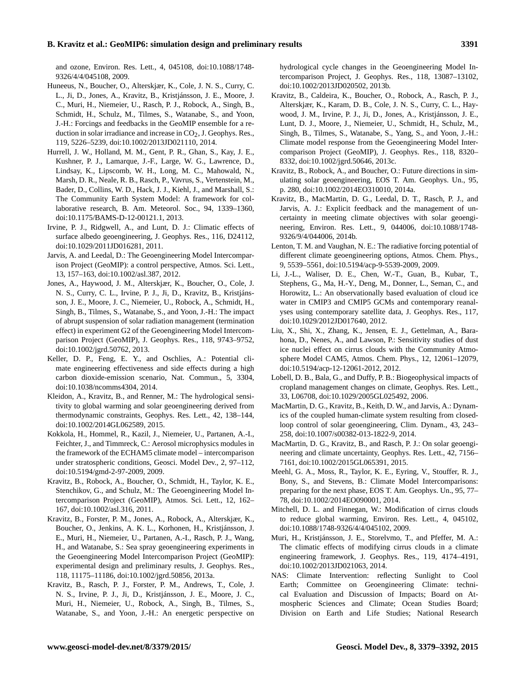and ozone, Environ. Res. Lett., 4, 045108, doi[:10.1088/1748-](http://dx.doi.org/10.1088/1748-9326/4/4/045108) [9326/4/4/045108,](http://dx.doi.org/10.1088/1748-9326/4/4/045108) 2009.

- Huneeus, N., Boucher, O., Alterskjær, K., Cole, J. N. S., Curry, C. L., Ji, D., Jones, A., Kravitz, B., Kristjánsson, J. E., Moore, J. C., Muri, H., Niemeier, U., Rasch, P. J., Robock, A., Singh, B., Schmidt, H., Schulz, M., Tilmes, S., Watanabe, S., and Yoon, J.-H.: Forcings and feedbacks in the GeoMIP ensemble for a reduction in solar irradiance and increase in  $CO<sub>2</sub>$ , J. Geophys. Res., 119, 5226–5239, doi[:10.1002/2013JD021110,](http://dx.doi.org/10.1002/2013JD021110) 2014.
- Hurrell, J. W., Holland, M. M., Gent, P. R., Ghan, S., Kay, J. E., Kushner, P. J., Lamarque, J.-F., Large, W. G., Lawrence, D., Lindsay, K., Lipscomb, W. H., Long, M. C., Mahowald, N., Marsh, D. R., Neale, R. B., Rasch, P., Vavrus, S., Vertenstein, M., Bader, D., Collins, W. D., Hack, J. J., Kiehl, J., and Marshall, S.: The Community Earth System Model: A framework for collaborative research, B. Am. Meteorol. Soc., 94, 1339–1360, doi[:10.1175/BAMS-D-12-00121.1,](http://dx.doi.org/10.1175/BAMS-D-12-00121.1) 2013.
- Irvine, P. J., Ridgwell, A., and Lunt, D. J.: Climatic effects of surface albedo geoengineering, J. Geophys. Res., 116, D24112, doi[:10.1029/2011JD016281,](http://dx.doi.org/10.1029/2011JD016281) 2011.
- Jarvis, A. and Leedal, D.: The Geoengineering Model Intercomparison Project (GeoMIP): a control perspective, Atmos. Sci. Lett., 13, 157–163, doi[:10.1002/asl.387,](http://dx.doi.org/10.1002/asl.387) 2012.
- Jones, A., Haywood, J. M., Alterskjær, K., Boucher, O., Cole, J. N. S., Curry, C. L., Irvine, P. J., Ji, D., Kravitz, B., Kristjánsson, J. E., Moore, J. C., Niemeier, U., Robock, A., Schmidt, H., Singh, B., Tilmes, S., Watanabe, S., and Yoon, J.-H.: The impact of abrupt suspension of solar radiation management (termination effect) in experiment G2 of the Geoengineering Model Intercomparison Project (GeoMIP), J. Geophys. Res., 118, 9743–9752, doi[:10.1002/jgrd.50762,](http://dx.doi.org/10.1002/jgrd.50762) 2013.
- Keller, D. P., Feng, E. Y., and Oschlies, A.: Potential climate engineering effectiveness and side effects during a high carbon dioxide-emission scenario, Nat. Commun., 5, 3304, doi[:10.1038/ncomms4304,](http://dx.doi.org/10.1038/ncomms4304) 2014.
- Kleidon, A., Kravitz, B., and Renner, M.: The hydrological sensitivity to global warming and solar geoengineering derived from thermodynamic constraints, Geophys. Res. Lett., 42, 138–144, doi[:10.1002/2014GL062589,](http://dx.doi.org/10.1002/2014GL062589) 2015.
- Kokkola, H., Hommel, R., Kazil, J., Niemeier, U., Partanen, A.-I., Feichter, J., and Timmreck, C.: Aerosol microphysics modules in the framework of the ECHAM5 climate model – intercomparison under stratospheric conditions, Geosci. Model Dev., 2, 97–112, doi[:10.5194/gmd-2-97-2009,](http://dx.doi.org/10.5194/gmd-2-97-2009) 2009.
- Kravitz, B., Robock, A., Boucher, O., Schmidt, H., Taylor, K. E., Stenchikov, G., and Schulz, M.: The Geoengineering Model Intercomparison Project (GeoMIP), Atmos. Sci. Lett., 12, 162– 167, doi[:10.1002/asl.316,](http://dx.doi.org/10.1002/asl.316) 2011.
- Kravitz, B., Forster, P. M., Jones, A., Robock, A., Alterskjær, K., Boucher, O., Jenkins, A. K. L., Korhonen, H., Kristjánsson, J. E., Muri, H., Niemeier, U., Partanen, A.-I., Rasch, P. J., Wang, H., and Watanabe, S.: Sea spray geoengineering experiments in the Geoengineering Model Intercomparison Project (GeoMIP): experimental design and preliminary results, J. Geophys. Res., 118, 11175–11186, doi[:10.1002/jgrd.50856,](http://dx.doi.org/10.1002/jgrd.50856) 2013a.
- Kravitz, B., Rasch, P. J., Forster, P. M., Andrews, T., Cole, J. N. S., Irvine, P. J., Ji, D., Kristjánsson, J. E., Moore, J. C., Muri, H., Niemeier, U., Robock, A., Singh, B., Tilmes, S., Watanabe, S., and Yoon, J.-H.: An energetic perspective on

hydrological cycle changes in the Geoengineering Model Intercomparison Project, J. Geophys. Res., 118, 13087–13102, doi[:10.1002/2013JD020502,](http://dx.doi.org/10.1002/2013JD020502) 2013b.

- Kravitz, B., Caldeira, K., Boucher, O., Robock, A., Rasch, P. J., Alterskjær, K., Karam, D. B., Cole, J. N. S., Curry, C. L., Haywood, J. M., Irvine, P. J., Ji, D., Jones, A., Kristjánsson, J. E., Lunt, D. J., Moore, J., Niemeier, U., Schmidt, H., Schulz, M., Singh, B., Tilmes, S., Watanabe, S., Yang, S., and Yoon, J.-H.: Climate model response from the Geoengineering Model Intercomparison Project (GeoMIP), J. Geophys. Res., 118, 8320– 8332, doi[:10.1002/jgrd.50646,](http://dx.doi.org/10.1002/jgrd.50646) 2013c.
- Kravitz, B., Robock, A., and Boucher, O.: Future directions in simulating solar geoengineering, EOS T. Am. Geophys. Un., 95, p. 280, doi[:10.1002/2014EO310010,](http://dx.doi.org/10.1002/2014EO310010) 2014a.
- Kravitz, B., MacMartin, D. G., Leedal, D. T., Rasch, P. J., and Jarvis, A. J.: Explicit feedback and the management of uncertainty in meeting climate objectives with solar geoengineering, Environ. Res. Lett., 9, 044006, doi[:10.1088/1748-](http://dx.doi.org/10.1088/1748-9326/9/4/044006) [9326/9/4/044006,](http://dx.doi.org/10.1088/1748-9326/9/4/044006) 2014b.
- Lenton, T. M. and Vaughan, N. E.: The radiative forcing potential of different climate geoengineering options, Atmos. Chem. Phys., 9, 5539–5561, doi[:10.5194/acp-9-5539-2009,](http://dx.doi.org/10.5194/acp-9-5539-2009) 2009.
- Li, J.-L., Waliser, D. E., Chen, W.-T., Guan, B., Kubar, T., Stephens, G., Ma, H.-Y., Deng, M., Donner, L., Seman, C., and Horowitz, L.: An observationally based evaluation of cloud ice water in CMIP3 and CMIP5 GCMs and contemporary reanalyses using contemporary satellite data, J. Geophys. Res., 117, doi[:10.1029/2012JD017640,](http://dx.doi.org/10.1029/2012JD017640) 2012.
- Liu, X., Shi, X., Zhang, K., Jensen, E. J., Gettelman, A., Barahona, D., Nenes, A., and Lawson, P.: Sensitivity studies of dust ice nuclei effect on cirrus clouds with the Community Atmosphere Model CAM5, Atmos. Chem. Phys., 12, 12061–12079, doi[:10.5194/acp-12-12061-2012,](http://dx.doi.org/10.5194/acp-12-12061-2012) 2012.
- Lobell, D. B., Bala, G., and Duffy, P. B.: Biogeophysical impacts of cropland management changes on climate, Geophys. Res. Lett., 33, L06708, doi[:10.1029/2005GL025492,](http://dx.doi.org/10.1029/2005GL025492) 2006.
- MacMartin, D. G., Kravitz, B., Keith, D. W., and Jarvis, A.: Dynamics of the coupled human-climate system resulting from closedloop control of solar geoengineering, Clim. Dynam., 43, 243– 258, doi[:10.1007/s00382-013-1822-9,](http://dx.doi.org/10.1007/s00382-013-1822-9) 2014.
- MacMartin, D. G., Kravitz, B., and Rasch, P. J.: On solar geoengineering and climate uncertainty, Geophys. Res. Lett., 42, 7156– 7161, doi[:10.1002/2015GL065391,](http://dx.doi.org/10.1002/2015GL065391) 2015.
- Meehl, G. A., Moss, R., Taylor, K. E., Eyring, V., Stouffer, R. J., Bony, S., and Stevens, B.: Climate Model Intercomparisons: preparing for the next phase, EOS T. Am. Geophys. Un., 95, 77– 78, doi[:10.1002/2014EO090001,](http://dx.doi.org/10.1002/2014EO090001) 2014.
- Mitchell, D. L. and Finnegan, W.: Modification of cirrus clouds to reduce global warming, Environ. Res. Lett., 4, 045102, doi[:10.1088/1748-9326/4/4/045102,](http://dx.doi.org/10.1088/1748-9326/4/4/045102) 2009.
- Muri, H., Kristjánsson, J. E., Storelvmo, T., and Pfeffer, M. A.: The climatic effects of modifying cirrus clouds in a climate engineering framework, J. Geophys. Res., 119, 4174–4191, doi[:10.1002/2013JD021063,](http://dx.doi.org/10.1002/2013JD021063) 2014.
- NAS: Climate Intervention: reflecting Sunlight to Cool Earth; Committee on Geoengineering Climate: technical Evaluation and Discussion of Impacts; Board on Atmospheric Sciences and Climate; Ocean Studies Board; Division on Earth and Life Studies; National Research